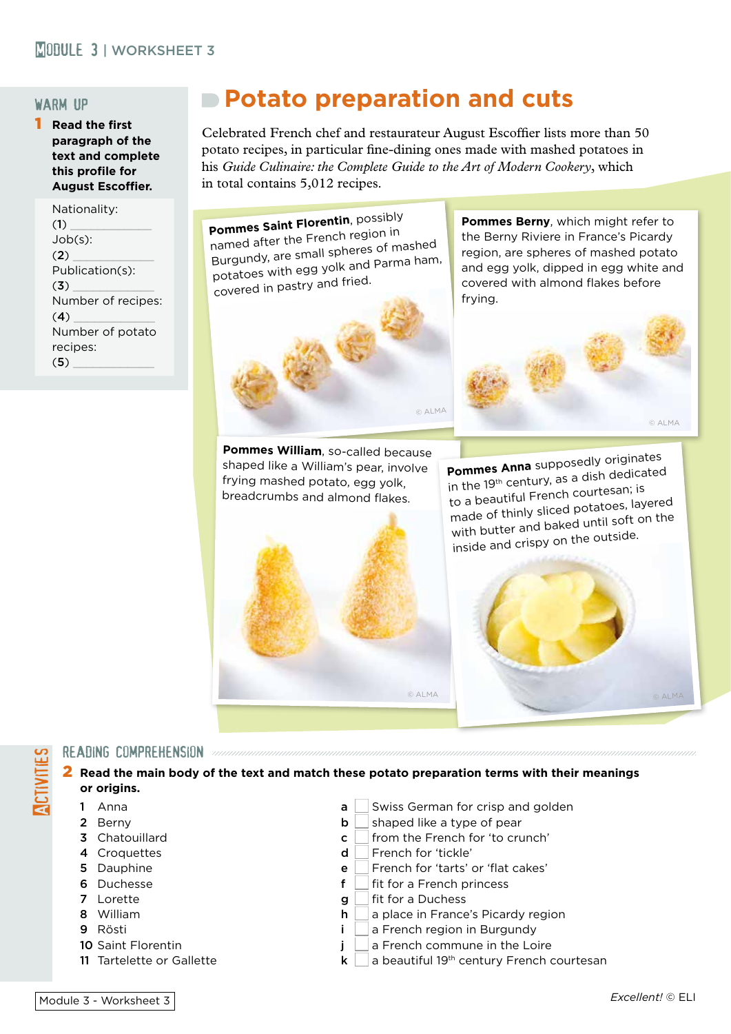## warm up

1 **Read the first paragraph of the text and complete this profile for August Escoffier.**

> Nationality:  $(1)$ Job(s):  $(2)$ Publication(s):  $(3)$ Number of recipes:  $(4)$ Number of potato recipes:  $(5)$

## **Potato preparation and cuts**

Celebrated French chef and restaurateur August Escoffier lists more than 50 potato recipes, in particular fine-dining ones made with mashed potatoes in his *Guide Culinaire: the Complete Guide to the Art of Modern Cookery*, which in total contains 5,012 recipes.



**Pommes Berny**, which might refer to the Berny Riviere in France's Picardy region, are spheres of mashed potato and egg yolk, dipped in egg white and covered with almond flakes before frying.



**Pommes William**, so-called because shaped like a William's pear, involve frying mashed potato, egg yolk, breadcrumbs and almond flakes.



**Pommes Anna** supposedly originates in the 19<sup>th</sup> century, as a dish dedicated to a beautiful French courtesan; is made of thinly sliced potatoes, layere<sup>d</sup> with butter and baked until soft on the inside and crispy on the outside.



## READING COMPREHENSION *and compression compression compression compression compression compression compression*

2 **Read the main body of the text and match these potato preparation terms with their meanings or origins.**

**ACTIVITIES** 

- 
- 
- 
- 
- 
- 
- 
- 
- 
- 
- 1 Anna **a** Swiss German for crisp and golden
- 2 Berny **b** shaped like a type of pear
- **3** Chatouillard **c** from the French for 'to crunch'
- **4** Croquettes d French for 'tickle'
- 5 Dauphine **e** French for 'tarts' or 'flat cakes'<br> **6** Duchesse **f** fit for a French princess
	- fit for a French princess
- **7** Lorette **g** fit for a Duchess
- 8 William **h** a place in France's Picardy region
- 9 Rösti i n a French region in Burgundy
- **10** Saint Florentin **in a French commune in the Loire** in the Loire
- 11 Tartelette or Gallette  $\mathsf{k} \quad \mathsf{a}$  beautiful 19<sup>th</sup> century French courtesan